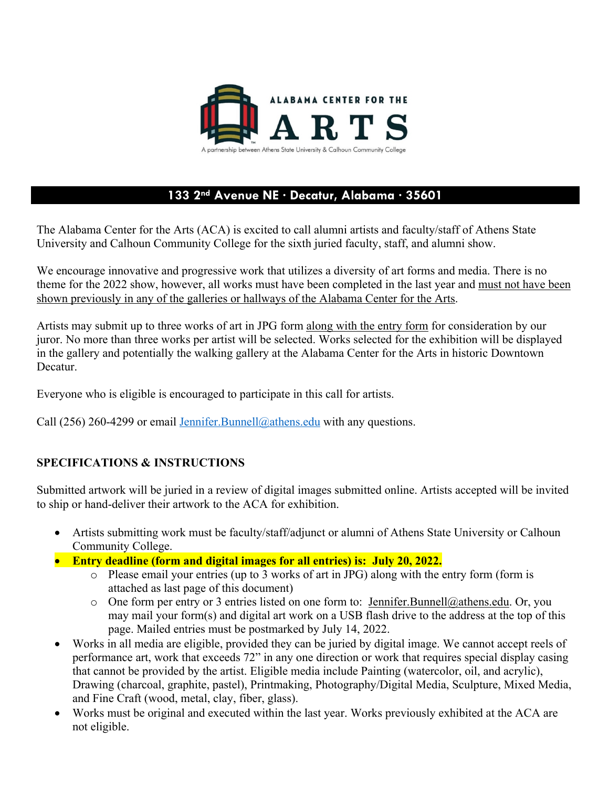

## **133 2nd Avenue NE · Decatur, Alabama · 35601**

The Alabama Center for the Arts (ACA) is excited to call alumni artists and faculty/staff of Athens State University and Calhoun Community College for the sixth juried faculty, staff, and alumni show.

We encourage innovative and progressive work that utilizes a diversity of art forms and media. There is no theme for the 2022 show, however, all works must have been completed in the last year and must not have been shown previously in any of the galleries or hallways of the Alabama Center for the Arts.

Artists may submit up to three works of art in JPG form along with the entry form for consideration by our juror. No more than three works per artist will be selected. Works selected for the exhibition will be displayed in the gallery and potentially the walking gallery at the Alabama Center for the Arts in historic Downtown Decatur.

Everyone who is eligible is encouraged to participate in this call for artists.

Call (256) 260-4299 or email Jennifer. Bunnell@athens.edu with any questions.

## **SPECIFICATIONS & INSTRUCTIONS**

Submitted artwork will be juried in a review of digital images submitted online. Artists accepted will be invited to ship or hand-deliver their artwork to the ACA for exhibition.

- Artists submitting work must be faculty/staff/adjunct or alumni of Athens State University or Calhoun Community College.
- **Entry deadline (form and digital images for all entries) is: July 20, 2022.** 
	- o Please email your entries (up to 3 works of art in JPG) along with the entry form (form is attached as last page of this document)
	- $\circ$  One form per entry or 3 entries listed on one form to: Jennifer. Bunnell@athens.edu. Or, you may mail your form(s) and digital art work on a USB flash drive to the address at the top of this page. Mailed entries must be postmarked by July 14, 2022.
- Works in all media are eligible, provided they can be juried by digital image. We cannot accept reels of performance art, work that exceeds 72" in any one direction or work that requires special display casing that cannot be provided by the artist. Eligible media include Painting (watercolor, oil, and acrylic), Drawing (charcoal, graphite, pastel), Printmaking, Photography/Digital Media, Sculpture, Mixed Media, and Fine Craft (wood, metal, clay, fiber, glass).
- Works must be original and executed within the last year. Works previously exhibited at the ACA are not eligible.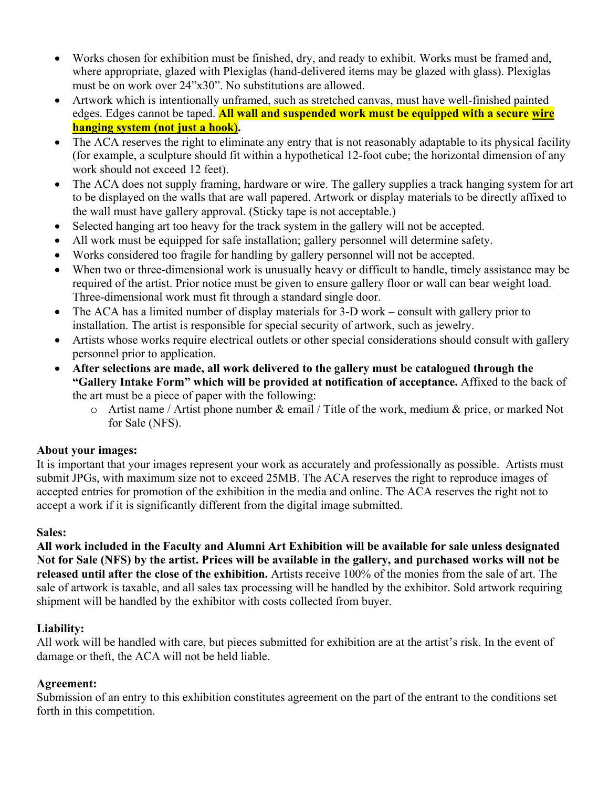- Works chosen for exhibition must be finished, dry, and ready to exhibit. Works must be framed and, where appropriate, glazed with Plexiglas (hand-delivered items may be glazed with glass). Plexiglas must be on work over 24"x30". No substitutions are allowed.
- Artwork which is intentionally unframed, such as stretched canvas, must have well-finished painted edges. Edges cannot be taped. **All wall and suspended work must be equipped with a secure wire hanging system (not just a hook).**
- The ACA reserves the right to eliminate any entry that is not reasonably adaptable to its physical facility (for example, a sculpture should fit within a hypothetical 12-foot cube; the horizontal dimension of any work should not exceed 12 feet).
- The ACA does not supply framing, hardware or wire. The gallery supplies a track hanging system for art to be displayed on the walls that are wall papered. Artwork or display materials to be directly affixed to the wall must have gallery approval. (Sticky tape is not acceptable.)
- Selected hanging art too heavy for the track system in the gallery will not be accepted.
- All work must be equipped for safe installation; gallery personnel will determine safety.
- Works considered too fragile for handling by gallery personnel will not be accepted.
- When two or three-dimensional work is unusually heavy or difficult to handle, timely assistance may be required of the artist. Prior notice must be given to ensure gallery floor or wall can bear weight load. Three-dimensional work must fit through a standard single door.
- The ACA has a limited number of display materials for 3-D work consult with gallery prior to installation. The artist is responsible for special security of artwork, such as jewelry.
- Artists whose works require electrical outlets or other special considerations should consult with gallery personnel prior to application.
- **After selections are made, all work delivered to the gallery must be catalogued through the "Gallery Intake Form" which will be provided at notification of acceptance.** Affixed to the back of the art must be a piece of paper with the following:
	- $\circ$  Artist name / Artist phone number & email / Title of the work, medium & price, or marked Not for Sale (NFS).

## **About your images:**

It is important that your images represent your work as accurately and professionally as possible. Artists must submit JPGs, with maximum size not to exceed 25MB. The ACA reserves the right to reproduce images of accepted entries for promotion of the exhibition in the media and online. The ACA reserves the right not to accept a work if it is significantly different from the digital image submitted.

#### **Sales:**

**All work included in the Faculty and Alumni Art Exhibition will be available for sale unless designated Not for Sale (NFS) by the artist. Prices will be available in the gallery, and purchased works will not be released until after the close of the exhibition.** Artists receive 100% of the monies from the sale of art. The sale of artwork is taxable, and all sales tax processing will be handled by the exhibitor. Sold artwork requiring shipment will be handled by the exhibitor with costs collected from buyer.

## **Liability:**

All work will be handled with care, but pieces submitted for exhibition are at the artist's risk. In the event of damage or theft, the ACA will not be held liable.

## **Agreement:**

Submission of an entry to this exhibition constitutes agreement on the part of the entrant to the conditions set forth in this competition.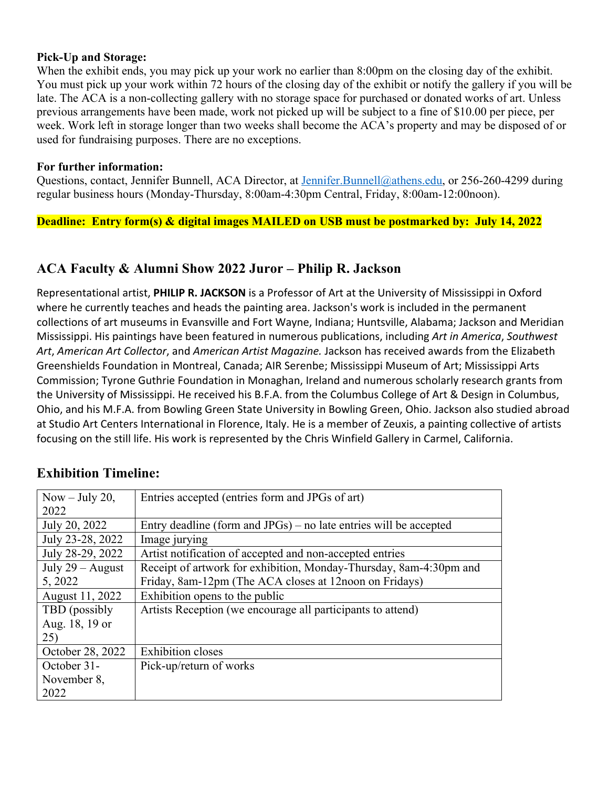#### **Pick-Up and Storage:**

When the exhibit ends, you may pick up your work no earlier than 8:00pm on the closing day of the exhibit. You must pick up your work within 72 hours of the closing day of the exhibit or notify the gallery if you will be late. The ACA is a non-collecting gallery with no storage space for purchased or donated works of art. Unless previous arrangements have been made, work not picked up will be subject to a fine of \$10.00 per piece, per week. Work left in storage longer than two weeks shall become the ACA's property and may be disposed of or used for fundraising purposes. There are no exceptions.

#### **For further information:**

Questions, contact, Jennifer Bunnell, ACA Director, at Jennifer.Bunnell@athens.edu, or 256-260-4299 during regular business hours (Monday-Thursday, 8:00am-4:30pm Central, Friday, 8:00am-12:00noon).

**Deadline: Entry form(s) & digital images MAILED on USB must be postmarked by: July 14, 2022** 

## **ACA Faculty & Alumni Show 2022 Juror – Philip R. Jackson**

Representational artist, **PHILIP R. JACKSON** is a Professor of Art at the University of Mississippi in Oxford where he currently teaches and heads the painting area. Jackson's work is included in the permanent collections of art museums in Evansville and Fort Wayne, Indiana; Huntsville, Alabama; Jackson and Meridian Mississippi. His paintings have been featured in numerous publications, including *Art in America*, *Southwest Art*, *American Art Collector*, and *American Artist Magazine.* Jackson has received awards from the Elizabeth Greenshields Foundation in Montreal, Canada; AIR Serenbe; Mississippi Museum of Art; Mississippi Arts Commission; Tyrone Guthrie Foundation in Monaghan, Ireland and numerous scholarly research grants from the University of Mississippi. He received his B.F.A. from the Columbus College of Art & Design in Columbus, Ohio, and his M.F.A. from Bowling Green State University in Bowling Green, Ohio. Jackson also studied abroad at Studio Art Centers International in Florence, Italy. He is a member of Zeuxis, a painting collective of artists focusing on the still life. His work is represented by the Chris Winfield Gallery in Carmel, California.

| Now $-$ July 20,   | Entries accepted (entries form and JPGs of art)                    |
|--------------------|--------------------------------------------------------------------|
| 2022               |                                                                    |
| July 20, 2022      | Entry deadline (form and JPGs) – no late entries will be accepted  |
| July 23-28, 2022   | Image jurying                                                      |
| July 28-29, 2022   | Artist notification of accepted and non-accepted entries           |
| July $29 -$ August | Receipt of artwork for exhibition, Monday-Thursday, 8am-4:30pm and |
| 5, 2022            | Friday, 8am-12pm (The ACA closes at 12noon on Fridays)             |
| August 11, 2022    | Exhibition opens to the public                                     |
| TBD (possibly      | Artists Reception (we encourage all participants to attend)        |
| Aug. 18, 19 or     |                                                                    |
| 25)                |                                                                    |
| October 28, 2022   | <b>Exhibition</b> closes                                           |
| October 31-        | Pick-up/return of works                                            |
| November 8,        |                                                                    |
| 2022               |                                                                    |

## **Exhibition Timeline:**